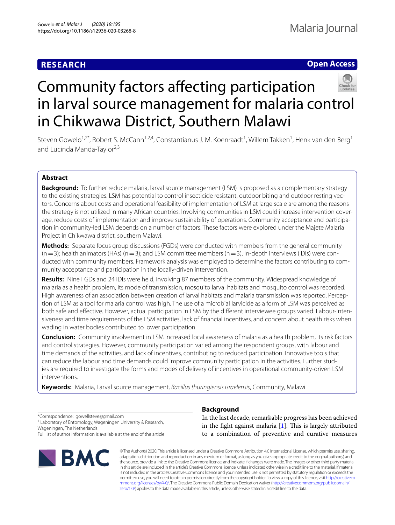# **RESEARCH**

# **Open Access**



# Community factors afecting participation in larval source management for malaria control in Chikwawa District, Southern Malawi

Steven Gowelo<sup>1,2\*</sup>, Robert S. McCann<sup>1,2,4</sup>, Constantianus J. M. Koenraadt<sup>1</sup>, Willem Takken<sup>1</sup>, Henk van den Berg<sup>1</sup> and Lucinda Manda-Taylor<sup>2,3</sup>

# **Abstract**

**Background:** To further reduce malaria, larval source management (LSM) is proposed as a complementary strategy to the existing strategies. LSM has potential to control insecticide resistant, outdoor biting and outdoor resting vectors. Concerns about costs and operational feasibility of implementation of LSM at large scale are among the reasons the strategy is not utilized in many African countries. Involving communities in LSM could increase intervention coverage, reduce costs of implementation and improve sustainability of operations. Community acceptance and participation in community-led LSM depends on a number of factors. These factors were explored under the Majete Malaria Project in Chikwawa district, southern Malawi.

**Methods:** Separate focus group discussions (FGDs) were conducted with members from the general community  $(n=3)$ ; health animators (HAs)  $(n=3)$ ; and LSM committee members  $(n=3)$ . In-depth interviews (IDIs) were conducted with community members. Framework analysis was employed to determine the factors contributing to community acceptance and participation in the locally-driven intervention.

**Results:** Nine FGDs and 24 IDIs were held, involving 87 members of the community. Widespread knowledge of malaria as a health problem, its mode of transmission, mosquito larval habitats and mosquito control was recorded. High awareness of an association between creation of larval habitats and malaria transmission was reported. Perception of LSM as a tool for malaria control was high. The use of a microbial larvicide as a form of LSM was perceived as both safe and effective. However, actual participation in LSM by the different interviewee groups varied. Labour-intensiveness and time requirements of the LSM activities, lack of fnancial incentives, and concern about health risks when wading in water bodies contributed to lower participation.

**Conclusion:** Community involvement in LSM increased local awareness of malaria as a health problem, its risk factors and control strategies. However, community participation varied among the respondent groups, with labour and time demands of the activities, and lack of incentives, contributing to reduced participation. Innovative tools that can reduce the labour and time demands could improve community participation in the activities. Further studies are required to investigate the forms and modes of delivery of incentives in operational community-driven LSM interventions.

**Keywords:** Malaria, Larval source management, *Bacillus thuringiensis israelensis*, Community, Malawi

\*Correspondence: gowellsteve@gmail.com

<sup>1</sup> Laboratory of Entomology, Wageningen University & Research, Wageningen, The Netherlands

Full list of author information is available at the end of the article



# **Background**

In the last decade, remarkable progress has been achieved in the fight against malaria  $[1]$  $[1]$ . This is largely attributed to a combination of preventive and curative measures

© The Author(s) 2020. This article is licensed under a Creative Commons Attribution 4.0 International License, which permits use, sharing, adaptation, distribution and reproduction in any medium or format, as long as you give appropriate credit to the original author(s) and the source, provide a link to the Creative Commons licence, and indicate if changes were made. The images or other third party material in this article are included in the article's Creative Commons licence, unless indicated otherwise in a credit line to the material. If material is not included in the article's Creative Commons licence and your intended use is not permitted by statutory regulation or exceeds the permitted use, you will need to obtain permission directly from the copyright holder. To view a copy of this licence, visit [http://creativeco](http://creativecommons.org/licenses/by/4.0/) [mmons.org/licenses/by/4.0/.](http://creativecommons.org/licenses/by/4.0/) The Creative Commons Public Domain Dedication waiver ([http://creativecommons.org/publicdomain/](http://creativecommons.org/publicdomain/zero/1.0/) [zero/1.0/\)](http://creativecommons.org/publicdomain/zero/1.0/) applies to the data made available in this article, unless otherwise stated in a credit line to the data.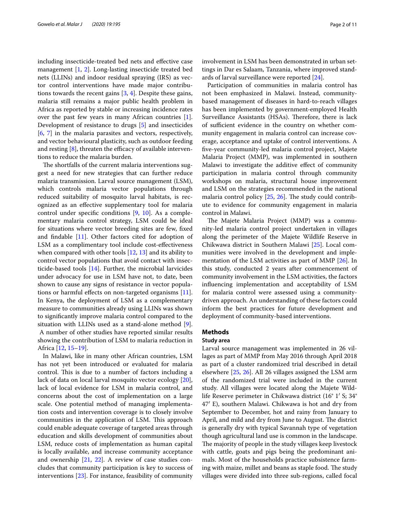including insecticide-treated bed nets and efective case management [\[1](#page-9-0), [2\]](#page-9-1). Long-lasting insecticide treated bed nets (LLINs) and indoor residual spraying (IRS) as vector control interventions have made major contributions towards the recent gains [\[3](#page-10-0), [4\]](#page-10-1). Despite these gains, malaria still remains a major public health problem in Africa as reported by stable or increasing incidence rates over the past few years in many African countries [\[1](#page-9-0)]. Development of resistance to drugs [[5\]](#page-10-2) and insecticides [[6,](#page-10-3) [7\]](#page-10-4) in the malaria parasites and vectors, respectively, and vector behavioural plasticity, such as outdoor feeding and resting  $[8]$  $[8]$ , threaten the efficacy of available interventions to reduce the malaria burden.

The shortfalls of the current malaria interventions suggest a need for new strategies that can further reduce malaria transmission. Larval source management (LSM), which controls malaria vector populations through reduced suitability of mosquito larval habitats, is recognized as an efective supplementary tool for malaria control under specifc conditions [\[9](#page-10-6), [10](#page-10-7)]. As a complementary malaria control strategy, LSM could be ideal for situations where vector breeding sites are few, fxed and fndable [\[11](#page-10-8)]. Other factors cited for adoption of LSM as a complimentary tool include cost-efectiveness when compared with other tools  $[12, 13]$  $[12, 13]$  $[12, 13]$  $[12, 13]$  and its ability to control vector populations that avoid contact with insecticide-based tools [\[14\]](#page-10-11). Further, the microbial larvicides under advocacy for use in LSM have not, to date, been shown to cause any signs of resistance in vector popula-tions or harmful effects on non-targeted organisms [\[11](#page-10-8)]. In Kenya, the deployment of LSM as a complementary measure to communities already using LLINs was shown to signifcantly improve malaria control compared to the situation with LLINs used as a stand-alone method [\[9](#page-10-6)]. A number of other studies have reported similar results

showing the contribution of LSM to malaria reduction in Africa [[12](#page-10-9), [15–](#page-10-12)[19\]](#page-10-13). In Malawi, like in many other African countries, LSM

has not yet been introduced or evaluated for malaria control. This is due to a number of factors including a lack of data on local larval mosquito vector ecology [\[20](#page-10-14)], lack of local evidence for LSM in malaria control, and concerns about the cost of implementation on a large scale. One potential method of managing implementation costs and intervention coverage is to closely involve communities in the application of LSM. This approach could enable adequate coverage of targeted areas through education and skills development of communities about LSM, reduce costs of implementation as human capital is locally available, and increase community acceptance and ownership [[21](#page-10-15), [22\]](#page-10-16). A review of case studies concludes that community participation is key to success of interventions [\[23\]](#page-10-17). For instance, feasibility of community involvement in LSM has been demonstrated in urban settings in Dar es Salaam, Tanzania, where improved standards of larval surveillance were reported [[24\]](#page-10-18).

Participation of communities in malaria control has not been emphasized in Malawi. Instead, communitybased management of diseases in hard-to-reach villages has been implemented by government-employed Health Surveillance Assistants (HSAs). Therefore, there is lack of sufficient evidence in the country on whether community engagement in malaria control can increase coverage, acceptance and uptake of control interventions. A fve-year community-led malaria control project, Majete Malaria Project (MMP), was implemented in southern Malawi to investigate the additive efect of community participation in malaria control through community workshops on malaria, structural house improvement and LSM on the strategies recommended in the national malaria control policy  $[25, 26]$  $[25, 26]$  $[25, 26]$  $[25, 26]$ . The study could contribute to evidence for community engagement in malaria control in Malawi.

The Majete Malaria Project (MMP) was a community-led malaria control project undertaken in villages along the perimeter of the Majete Wildlife Reserve in Chikwawa district in Southern Malawi [[25\]](#page-10-19). Local communities were involved in the development and implementation of the LSM activities as part of MMP [[26](#page-10-20)]. In this study, conducted 2 years after commencement of community involvement in the LSM activities, the factors infuencing implementation and acceptability of LSM for malaria control were assessed using a communitydriven approach. An understanding of these factors could inform the best practices for future development and deployment of community-based interventions.

#### **Methods**

# **Study area**

Larval source management was implemented in 26 villages as part of MMP from May 2016 through April 2018 as part of a cluster randomized trial described in detail elsewhere [\[25](#page-10-19), [26](#page-10-20)]. All 26 villages assigned the LSM arm of the randomized trial were included in the current study. All villages were located along the Majete Wildlife Reserve perimeter in Chikwawa district (16° 1′ S; 34° 47′ E), southern Malawi. Chikwawa is hot and dry from September to December, hot and rainy from January to April, and mild and dry from June to August. The district is generally dry with typical Savannah type of vegetation though agricultural land use is common in the landscape. The majority of people in the study villages keep livestock with cattle, goats and pigs being the predominant animals. Most of the households practice subsistence farming with maize, millet and beans as staple food. The study villages were divided into three sub-regions, called focal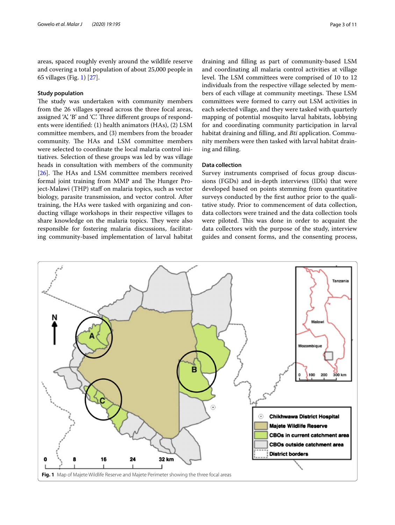areas, spaced roughly evenly around the wildlife reserve and covering a total population of about 25,000 people in 65 villages (Fig. [1](#page-2-0)) [[27\]](#page-10-21).

#### **Study population**

The study was undertaken with community members from the 26 villages spread across the three focal areas, assigned 'A', 'B' and 'C'. Three different groups of respondents were identifed: (1) health animators (HAs), (2) LSM committee members, and (3) members from the broader community. The HAs and LSM committee members were selected to coordinate the local malaria control initiatives. Selection of these groups was led by was village heads in consultation with members of the community [ $26$ ]. The HAs and LSM committee members received formal joint training from MMP and The Hunger Project-Malawi (THP) staf on malaria topics, such as vector biology, parasite transmission, and vector control. After training, the HAs were tasked with organizing and conducting village workshops in their respective villages to share knowledge on the malaria topics. They were also responsible for fostering malaria discussions, facilitating community-based implementation of larval habitat draining and flling as part of community-based LSM and coordinating all malaria control activities at village level. The LSM committees were comprised of 10 to 12 individuals from the respective village selected by members of each village at community meetings. These LSM committees were formed to carry out LSM activities in each selected village, and they were tasked with quarterly mapping of potential mosquito larval habitats, lobbying for and coordinating community participation in larval habitat draining and flling, and *Bti* application. Community members were then tasked with larval habitat draining and flling.

#### **Data collection**

Survey instruments comprised of focus group discussions (FGDs) and in-depth interviews (IDIs) that were developed based on points stemming from quantitative surveys conducted by the frst author prior to the qualitative study. Prior to commencement of data collection, data collectors were trained and the data collection tools were piloted. This was done in order to acquaint the data collectors with the purpose of the study, interview guides and consent forms, and the consenting process,

<span id="page-2-0"></span>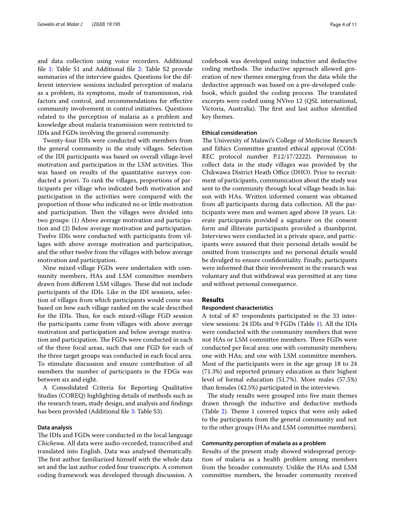and data collection using voice recorders. Additional fle [1](#page-9-2): Table S1 and Additional fle [2:](#page-9-3) Table S2 provide summaries of the interview guides. Questions for the different interview sessions included perception of malaria as a problem, its symptoms, mode of transmission, risk factors and control, and recommendations for efective community involvement in control initiatives. Questions related to the perception of malaria as a problem and knowledge about malaria transmission were restricted to IDIs and FGDs involving the general community.

Twenty-four IDIs were conducted with members from the general community in the study villages. Selection of the IDI participants was based on overall village-level motivation and participation in the LSM activities. This was based on results of the quantitative surveys conducted a priori. To rank the villages, proportions of participants per village who indicated both motivation and participation in the activities were compared with the proportion of those who indicated no or little motivation and participation. Then the villages were divided into two groups: (1) Above average motivation and participation and (2) Below average motivation and participation. Twelve IDIs were conducted with participants from villages with above average motivation and participation, and the other twelve from the villages with below average motivation and participation.

Nine mixed-village FGDs were undertaken with community members, HAs and LSM committee members drawn from different LSM villages. These did not include participants of the IDIs. Like in the IDI sessions, selection of villages from which participants would come was based on how each village ranked on the scale described for the IDIs. Thus, for each mixed-village FGD session the participants came from villages with above average motivation and participation and below average motivation and participation. The FGDs were conducted in each of the three focal areas, such that one FGD for each of the three target groups was conducted in each focal area. To stimulate discussion and ensure contribution of all members the number of participants in the FDGs was between six and eight.

A Consolidated Criteria for Reporting Qualitative Studies (COREQ) highlighting details of methods such as the research team, study design, and analysis and fndings has been provided (Additional file [3](#page-9-4): Table S3).

#### **Data analysis**

The IDIs and FGDs were conducted in the local language *Chichewa*. All data were audio-recorded, transcribed and translated into English. Data was analysed thematically. The first author familiarized himself with the whole data set and the last author coded four transcripts. A common coding framework was developed through discussion. A

codebook was developed using inductive and deductive coding methods. The inductive approach allowed generation of new themes emerging from the data while the deductive approach was based on a pre-developed codebook, which guided the coding process. The translated excerpts were coded using NVivo 12 (QSL international, Victoria, Australia). The first and last author identified key themes.

## **Ethical consideration**

The University of Malawi's College of Medicine Research and Ethics Committee granted ethical approval (COM-REC protocol number P.12/17/2222). Permission to collect data in the study villages was provided by the Chikwawa District Heath Office (DHO). Prior to recruitment of participants, communication about the study was sent to the community through local village heads in liaison with HAs. Written informed consent was obtained from all participants during data collection. All the participants were men and women aged above 18 years. Literate participants provided a signature on the consent form and illiterate participants provided a thumbprint. Interviews were conducted in a private space, and participants were assured that their personal details would be omitted from transcripts and no personal details would be divulged to ensure confdentiality. Finally, participants were informed that their involvement in the research was voluntary and that withdrawal was permitted at any time and without personal consequence.

# **Results**

#### **Respondent characteristics**

A total of 87 respondents participated in the 33 interview sessions: 24 IDIs and 9 FGDs (Table [1](#page-4-0)). All the IDIs were conducted with the community members that were not HAs or LSM committee members. Three FGDs were conducted per focal area: one with community members; one with HAs; and one with LSM committee members. Most of the participants were in the age group 18 to 24 (71.3%) and reported primary education as their highest level of formal education (51.7%). More males (57.5%) than females (42.5%) participated in the interviews.

The study results were grouped into five main themes drawn through the inductive and deductive methods (Table  $2$ ). Theme 1 covered topics that were only asked to the participants from the general community and not to the other groups (HAs and LSM committee members).

#### **Community perception of malaria as a problem**

Results of the present study showed widespread perception of malaria as a health problem among members from the broader community. Unlike the HAs and LSM committee members, the broader community received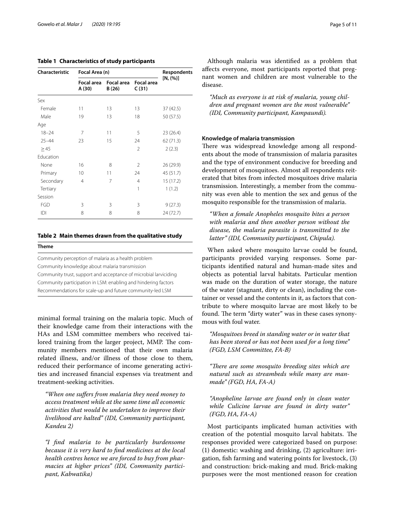#### <span id="page-4-0"></span>**Table 1 Characteristics of study participants**

| Characteristic | Focal Area (n)       |                     |                            | <b>Respondents</b> |
|----------------|----------------------|---------------------|----------------------------|--------------------|
|                | Focal area<br>A (30) | Focal area<br>B(26) | <b>Focal area</b><br>C(31) | [N, (%)]           |
| Sex            |                      |                     |                            |                    |
| Female         | 11                   | 13                  | 13                         | 37 (42.5)          |
| Male           | 19                   | 13                  | 18                         | 50 (57.5)          |
| Age            |                      |                     |                            |                    |
| $18 - 24$      | 7                    | 11                  | 5                          | 23 (26.4)          |
| $25 - 44$      | 23                   | 15                  | 24                         | 62 (71.3)          |
| >45            |                      |                     | $\mathfrak{D}$             | 2(2.3)             |
| Education      |                      |                     |                            |                    |
| None           | 16                   | 8                   | $\mathfrak{D}$             | 26 (29.9)          |
| Primary        | 10                   | 11                  | 24                         | 45 (51.7)          |
| Secondary      | 4                    | 7                   | $\overline{4}$             | 15 (17.2)          |
| Tertiary       |                      |                     | 1                          | 1(1.2)             |
| Session        |                      |                     |                            |                    |
| FGD            | 3                    | 3                   | 3                          | 9(27.3)            |
| IDI            | 8                    | 8                   | 8                          | 24 (72.7)          |

#### <span id="page-4-1"></span>**Table 2 Main themes drawn from the qualitative study**

**Theme**

Community perception of malaria as a health problem Community knowledge about malaria transmission Community trust, support and acceptance of microbial larviciding Community participation in LSM: enabling and hindering factors Recommendations for scale-up and future community-led LSM

minimal formal training on the malaria topic. Much of their knowledge came from their interactions with the HAs and LSM committee members who received tailored training from the larger project, MMP. The community members mentioned that their own malaria related illness, and/or illness of those close to them, reduced their performance of income generating activities and increased fnancial expenses via treatment and treatment-seeking activities.

*"When one sufers from malaria they need money to access treatment while at the same time all economic activities that would be undertaken to improve their livelihood are halted" (IDI, Community participant, Kandeu 2)*

*"I fnd malaria to be particularly burdensome because it is very hard to fnd medicines at the local health centres hence we are forced to buy from pharmacies at higher prices" (IDI, Community participant, Kabwatika)*

Although malaria was identifed as a problem that afects everyone, most participants reported that pregnant women and children are most vulnerable to the disease.

*"Much as everyone is at risk of malaria, young children and pregnant women are the most vulnerable" (IDI, Community participant, Kampaundi).*

#### **Knowledge of malaria transmission**

There was widespread knowledge among all respondents about the mode of transmission of malaria parasites and the type of environment conducive for breeding and development of mosquitoes. Almost all respondents reiterated that bites from infected mosquitoes drive malaria transmission. Interestingly, a member from the community was even able to mention the sex and genus of the mosquito responsible for the transmission of malaria.

*"When a female Anopheles mosquito bites a person with malaria and then another person without the disease, the malaria parasite is transmitted to the latter" (IDI, Community participant, Chipula).*

When asked where mosquito larvae could be found, participants provided varying responses. Some participants identifed natural and human-made sites and objects as potential larval habitats. Particular mention was made on the duration of water storage, the nature of the water (stagnant, dirty or clean), including the container or vessel and the contents in it, as factors that contribute to where mosquito larvae are most likely to be found. The term "dirty water" was in these cases synonymous with foul water.

*"Mosquitoes breed in standing water or in water that has been stored or has not been used for a long time" (FGD, LSM Committee, FA-B)*

*"There are some mosquito breeding sites which are natural such as streambeds while many are manmade" (FGD, HA, FA-A)*

*"Anopheline larvae are found only in clean water while Culicine larvae are found in dirty water" (FGD, HA, FA-A)*

Most participants implicated human activities with creation of the potential mosquito larval habitats. The responses provided were categorized based on purpose: (1) domestic: washing and drinking, (2) agriculture: irrigation, fsh farming and watering points for livestock, (3) and construction: brick-making and mud. Brick-making purposes were the most mentioned reason for creation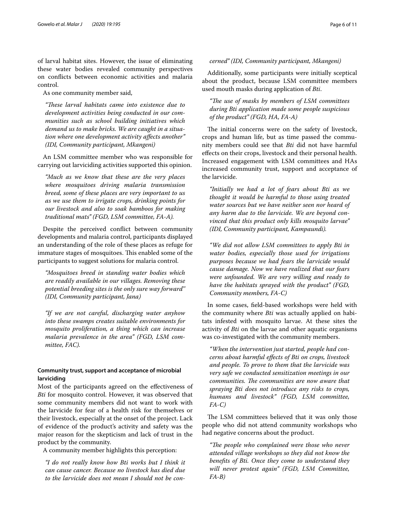of larval habitat sites. However, the issue of eliminating these water bodies revealed community perspectives on conficts between economic activities and malaria control.

As one community member said,

*"Tese larval habitats came into existence due to development activities being conducted in our communities such as school building initiatives which demand us to make bricks. We are caught in a situation where one development activity afects another" (IDI, Community participant, Mkangeni)*

An LSM committee member who was responsible for carrying out larviciding activities supported this opinion.

*"Much as we know that these are the very places where mosquitoes driving malaria transmission breed, some of these places are very important to us as we use them to irrigate crops, drinking points for our livestock and also to soak bamboos for making traditional mats" (FGD, LSM committee, FA-A).*

Despite the perceived confict between community developments and malaria control, participants displayed an understanding of the role of these places as refuge for immature stages of mosquitoes. This enabled some of the participants to suggest solutions for malaria control.

*"Mosquitoes breed in standing water bodies which are readily available in our villages. Removing these potential breeding sites is the only sure way forward'' (IDI, Community participant, Jana)*

*"If we are not careful, discharging water anyhow into these swamps creates suitable environments for mosquito proliferation, a thing which can increase malaria prevalence in the area" (FGD, LSM committee, FAC).*

# **Community trust, support and acceptance of microbial larviciding**

Most of the participants agreed on the efectiveness of *Bti* for mosquito control. However, it was observed that some community members did not want to work with the larvicide for fear of a health risk for themselves or their livestock, especially at the onset of the project. Lack of evidence of the product's activity and safety was the major reason for the skepticism and lack of trust in the product by the community.

A community member highlights this perception:

*"I do not really know how Bti works but I think it can cause cancer. Because no livestock has died due to the larvicide does not mean I should not be con-*

# *cerned" (IDI, Community participant, Mkangeni)*

Additionally, some participants were initially sceptical about the product, because LSM committee members used mouth masks during application of *Bti*.

# *"Te use of masks by members of LSM committees during Bti application made some people suspicious of the product" (FGD, HA, FA-A)*

The initial concerns were on the safety of livestock, crops and human life, but as time passed the community members could see that *Bti* did not have harmful efects on their crops, livestock and their personal health. Increased engagement with LSM committees and HAs increased community trust, support and acceptance of the larvicide.

*"Initially we had a lot of fears about Bti as we thought it would be harmful to those using treated water sources but we have neither seen nor heard of any harm due to the larvicide. We are beyond convinced that this product only kills mosquito larvae" (IDI, Community participant, Kampaundi).*

*"We did not allow LSM committees to apply Bti in water bodies, especially those used for irrigations purposes because we had fears the larvicide would cause damage. Now we have realized that our fears were unfounded. We are very willing and ready to have the habitats sprayed with the product" (FGD, Community members, FA-C)*

In some cases, feld-based workshops were held with the community where *Bti* was actually applied on habitats infested with mosquito larvae. At these sites the activity of *Bti* on the larvae and other aquatic organisms was co-investigated with the community members.

*"When the intervention just started, people had concerns about harmful efects of Bti on crops, livestock and people. To prove to them that the larvicide was very safe we conducted sensitization meetings in our*  communities. The communities are now aware that *spraying Bti does not introduce any risks to crops, humans and livestock" (FGD, LSM committee, FA-C)*

The LSM committees believed that it was only those people who did not attend community workshops who had negative concerns about the product.

"The people who complained were those who never *attended village workshops so they did not know the benefts of Bti. Once they come to understand they will never protest again" (FGD, LSM Committee, FA-B)*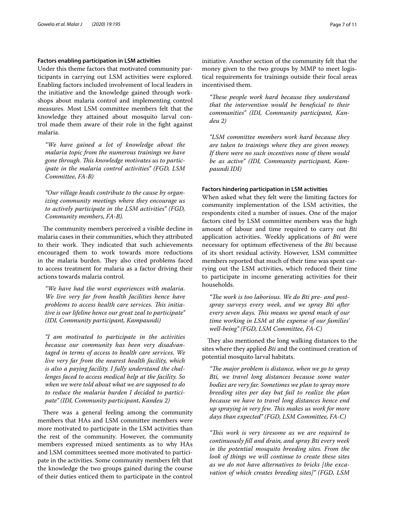#### **Factors enabling participation in LSM activities**

Under this theme factors that motivated community participants in carrying out LSM activities were explored. Enabling factors included involvement of local leaders in the initiative and the knowledge gained through workshops about malaria control and implementing control measures. Most LSM committee members felt that the knowledge they attained about mosquito larval control made them aware of their role in the fght against malaria.

*"We have gained a lot of knowledge about the malaria topic from the numerous trainings we have gone through. Tis knowledge motivates us to participate in the malaria control activities" (FGD, LSM Committee, FA-B)*

*"Our village heads contribute to the cause by organizing community meetings where they encourage us to actively participate in the LSM activities" (FGD, Community members, FA-B).*

The community members perceived a visible decline in malaria cases in their communities, which they attributed to their work. They indicated that such achievements encouraged them to work towards more reductions in the malaria burden. They also cited problems faced to access treatment for malaria as a factor driving their actions towards malaria control.

*"We have had the worst experiences with malaria. We live very far from health facilities hence have*  problems to access health care services. This initia*tive is our lifeline hence our great zeal to participate" (IDI, Community participant, Kampaundi)*

*"I am motivated to participate in the activities because our community has been very disadvantaged in terms of access to health care services. We live very far from the nearest health facility, which is also a paying facility. I fully understand the challenges faced to access medical help at the facility. So when we were told about what we are supposed to do to reduce the malaria burden I decided to participate" (IDI, Community participant, Kandeu 2)*

There was a general feeling among the community members that HAs and LSM committee members were more motivated to participate in the LSM activities than the rest of the community. However, the community members expressed mixed sentiments as to why HAs and LSM committees seemed more motivated to participate in the activities. Some community members felt that the knowledge the two groups gained during the course of their duties enticed them to participate in the control initiative. Another section of the community felt that the money given to the two groups by MMP to meet logistical requirements for trainings outside their focal areas incentivised them.

*"Tese people work hard because they understand that the intervention would be benefcial to their communities" (IDI, Community participant, Kandeu 2)*

*"LSM committee members work hard because they are taken to trainings where they are given money. If there were no such incentives none of them would be as active" (IDI, Community participant, Kampaundi IDI)*

### **Factors hindering participation in LSM activities**

When asked what they felt were the limiting factors for community implementation of the LSM activities, the respondents cited a number of issues. One of the major factors cited by LSM committee members was the high amount of labour and time required to carry out *Bti* application activities. Weekly applications of *Bti* were necessary for optimum efectiveness of the *Bti* because of its short residual activity. However, LSM committee members reported that much of their time was spent carrying out the LSM activities, which reduced their time to participate in income generating activities for their households.

"The work is too laborious. We do Bti pre- and post*spray surveys every week, and we spray Bti after every seven days. Tis means we spend much of our time working in LSM at the expense of our families' well-being" (FGD, LSM Committee, FA-C)*

They also mentioned the long walking distances to the sites where they applied *Bti* and the continued creation of potential mosquito larval habitats.

*"The major problem is distance, when we go to spray Bti, we travel long distances because some water bodies are very far. Sometimes we plan to spray more breeding sites per day but fail to realize the plan because we have to travel long distances hence end up spraying in very few. Tis makes us work for more days than expected" (FGD, LSM Committee, FA-C)*

*"Tis work is very tiresome as we are required to continuously fll and drain, and spray Bti every week in the potential mosquito breeding sites. From the look of things we will continue to create these sites as we do not have alternatives to bricks [the excavation of which creates breeding sites]" (FGD, LSM*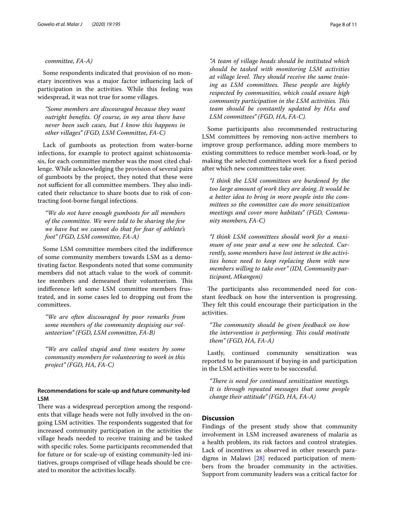#### *committee, FA-A)*

Some respondents indicated that provision of no monetary incentives was a major factor infuencing lack of participation in the activities. While this feeling was widespread, it was not true for some villages.

*"Some members are discouraged because they want outright benefts. Of course, in my area there have never been such cases, but I know this happens in other villages" (FGD, LSM Committee, FA-C)*

Lack of gumboots as protection from water-borne infections, for example to protect against schistosomiasis, for each committee member was the most cited challenge. While acknowledging the provision of several pairs of gumboots by the project, they noted that these were not sufficient for all committee members. They also indicated their reluctance to share boots due to risk of contracting foot-borne fungal infections.

*"We do not have enough gumboots for all members of the committee. We were told to be sharing the few we have but we cannot do that for fear of athlete's foot" (FGD, LSM committee, FA-A)*

Some LSM committee members cited the indiference of some community members towards LSM as a demotivating factor. Respondents noted that some community members did not attach value to the work of committee members and demeaned their volunteerism. This indiference left some LSM committee members frustrated, and in some cases led to dropping out from the committees.

*"We are often discouraged by poor remarks from some members of the community despising our volunteerism" (FGD, LSM committee, FA-B)*

*"We are called stupid and time wasters by some community members for volunteering to work in this project" (FGD, HA, FA-C)*

# **Recommendations for scale‑up and future community‑led LSM**

There was a widespread perception among the respondents that village heads were not fully involved in the ongoing LSM activities. The respondents suggested that for increased community participation in the activities the village heads needed to receive training and be tasked with specifc roles. Some participants recommended that for future or for scale-up of existing community-led initiatives, groups comprised of village heads should be created to monitor the activities locally.

*"A team of village heads should be instituted which should be tasked with monitoring LSM activities*  at village level. They should receive the same training as LSM committees. These people are highly *respected by communities, which could ensure high community participation in the LSM activities. Tis team should be constantly updated by HAs and LSM committees" (FGD, HA, FA-C).*

Some participants also recommended restructuring LSM committees by removing non-active members to improve group performance, adding more members to existing committees to reduce member work-load, or by making the selected committees work for a fxed period after which new committees take over.

*"I think the LSM committees are burdened by the too large amount of work they are doing. It would be a better idea to bring in more people into the committees so the committee can do more sensitization meetings and cover more habitats" (FGD, Community members, FA-C)*

*"I think LSM committees should work for a maximum of one year and a new one be selected. Currently, some members have lost interest in the activities hence need to keep replacing them with new members willing to take over" (IDI, Community participant, Mkangeni)*

The participants also recommended need for constant feedback on how the intervention is progressing. They felt this could encourage their participation in the activities.

*"Te community should be given feedback on how the intervention is performing. Tis could motivate them" (FGD, HA, FA-A)*

Lastly, continued community sensitization was reported to be paramount if buying-in and participation in the LSM activities were to be successful.

*"There is need for continued sensitization meetings. It is through repeated messages that some people change their attitude" (FGD, HA, FA-A)*

## **Discussion**

Findings of the present study show that community involvement in LSM increased awareness of malaria as a health problem, its risk factors and control strategies. Lack of incentives as observed in other research paradigms in Malawi [\[28](#page-10-22)] reduced participation of members from the broader community in the activities. Support from community leaders was a critical factor for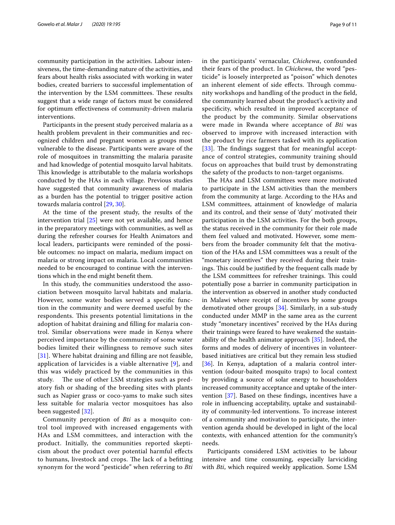community participation in the activities. Labour intensiveness, the time-demanding nature of the activities, and fears about health risks associated with working in water bodies, created barriers to successful implementation of the intervention by the LSM committees. These results suggest that a wide range of factors must be considered for optimum efectiveness of community-driven malaria interventions.

Participants in the present study perceived malaria as a health problem prevalent in their communities and recognized children and pregnant women as groups most vulnerable to the disease. Participants were aware of the role of mosquitoes in transmitting the malaria parasite and had knowledge of potential mosquito larval habitats. This knowledge is attributable to the malaria workshops conducted by the HAs in each village. Previous studies have suggested that community awareness of malaria as a burden has the potential to trigger positive action towards malaria control [[29,](#page-10-23) [30\]](#page-10-24).

At the time of the present study, the results of the intervention trial [\[25](#page-10-19)] were not yet available, and hence in the preparatory meetings with communities, as well as during the refresher courses for Health Animators and local leaders, participants were reminded of the possible outcomes: no impact on malaria, medium impact on malaria or strong impact on malaria. Local communities needed to be encouraged to continue with the interventions which in the end might beneft them.

In this study, the communities understood the association between mosquito larval habitats and malaria. However, some water bodies served a specifc function in the community and were deemed useful by the respondents. This presents potential limitations in the adoption of habitat draining and flling for malaria control. Similar observations were made in Kenya where perceived importance by the community of some water bodies limited their willingness to remove such sites [[31](#page-10-25)]. Where habitat draining and filling are not feasible, application of larvicides is a viable alternative [[9\]](#page-10-6), and this was widely practiced by the communities in this study. The use of other LSM strategies such as predatory fsh or shading of the breeding sites with plants such as Napier grass or coco-yams to make such sites less suitable for malaria vector mosquitoes has also been suggested [\[32](#page-10-26)].

Community perception of *Bti* as a mosquito control tool improved with increased engagements with HAs and LSM committees, and interaction with the product. Initially, the communities reported skepticism about the product over potential harmful efects to humans, livestock and crops. The lack of a befitting synonym for the word "pesticide" when referring to *Bti* in the participants' vernacular, *Chichewa*, confounded their fears of the product. In *Chichewa*, the word "pesticide" is loosely interpreted as "poison" which denotes an inherent element of side effects. Through community workshops and handling of the product in the feld, the community learned about the product's activity and specifcity, which resulted in improved acceptance of the product by the community. Similar observations were made in Rwanda where acceptance of *Bti* was observed to improve with increased interaction with the product by rice farmers tasked with its application  $[33]$  $[33]$  $[33]$ . The findings suggest that for meaningful acceptance of control strategies, community training should focus on approaches that build trust by demonstrating the safety of the products to non-target organisms.

The HAs and LSM committees were more motivated to participate in the LSM activities than the members from the community at large. According to the HAs and LSM committees, attainment of knowledge of malaria and its control, and their sense of 'duty' motivated their participation in the LSM activities. For the both groups, the status received in the community for their role made them feel valued and motivated. However, some members from the broader community felt that the motivation of the HAs and LSM committees was a result of the "monetary incentives" they received during their trainings. This could be justified by the frequent calls made by the LSM committees for refresher trainings. This could potentially pose a barrier in community participation in the intervention as observed in another study conducted in Malawi where receipt of incentives by some groups demotivated other groups [\[34](#page-10-28)]. Similarly, in a sub-study conducted under MMP in the same area as the current study "monetary incentives'' received by the HAs during their trainings were feared to have weakened the sustainability of the health animator approach [\[35](#page-10-29)]. Indeed, the forms and modes of delivery of incentives in volunteerbased initiatives are critical but they remain less studied [[36\]](#page-10-30). In Kenya, adaptation of a malaria control intervention (odour-baited mosquito traps) to local context by providing a source of solar energy to householders increased community acceptance and uptake of the intervention [\[37](#page-10-31)]. Based on these fndings, incentives have a role in infuencing acceptability, uptake and sustainability of community-led interventions. To increase interest of a community and motivation to participate, the intervention agenda should be developed in light of the local contexts, with enhanced attention for the community's needs.

Participants considered LSM activities to be labour intensive and time consuming, especially larviciding with *Bti*, which required weekly application. Some LSM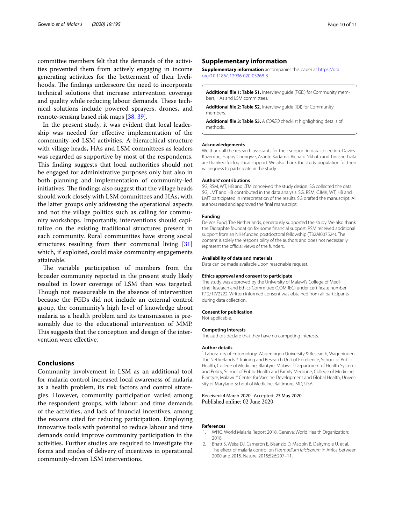committee members felt that the demands of the activities prevented them from actively engaging in income generating activities for the betterment of their livelihoods. The findings underscore the need to incorporate technical solutions that increase intervention coverage and quality while reducing labour demands. These technical solutions include powered sprayers, drones, and remote-sensing based risk maps [[38,](#page-10-32) [39\]](#page-10-33).

In the present study, it was evident that local leadership was needed for efective implementation of the community-led LSM activities. A hierarchical structure with village heads, HAs and LSM committees as leaders was regarded as supportive by most of the respondents. This finding suggests that local authorities should not be engaged for administrative purposes only but also in both planning and implementation of community-led initiatives. The findings also suggest that the village heads should work closely with LSM committees and HAs, with the latter groups only addressing the operational aspects and not the village politics such as calling for community workshops. Importantly, interventions should capitalize on the existing traditional structures present in each community. Rural communities have strong social structures resulting from their communal living [[31](#page-10-25)] which, if exploited, could make community engagements attainable.

The variable participation of members from the broader community reported in the present study likely resulted in lower coverage of LSM than was targeted. Though not measureable in the absence of intervention because the FGDs did not include an external control group, the community's high level of knowledge about malaria as a health problem and its transmission is presumably due to the educational intervention of MMP. This suggests that the conception and design of the intervention were efective.

#### **Conclusions**

Community involvement in LSM as an additional tool for malaria control increased local awareness of malaria as a health problem, its risk factors and control strategies. However, community participation varied among the respondent groups, with labour and time demands of the activities, and lack of fnancial incentives, among the reasons cited for reducing participation. Employing innovative tools with potential to reduce labour and time demands could improve community participation in the activities. Further studies are required to investigate the forms and modes of delivery of incentives in operational community-driven LSM interventions.

#### **Supplementary information**

**Supplementary information** accompanies this paper at [https://doi.](https://doi.org/10.1186/s12936-020-03268-8) [org/10.1186/s12936-020-03268-8](https://doi.org/10.1186/s12936-020-03268-8).

<span id="page-9-3"></span><span id="page-9-2"></span>Additional file 1: Table S1. Interview guide (FGD) for Community members, HAs and LSM committees.

<span id="page-9-4"></span>**Additional fle 2: Table S2.** Interview guide (IDI) for Community members.

**Additional fle 3: Table S3.** A *COREQ* checklist highlighting details of methods.

#### **Acknowledgements**

We thank all the research assistants for their support in data collection. Davies Kazembe, Happy Chongwe, Asante Kadama, Richard Nkhata and Tinashe Tizifa are thanked for logistical support. We also thank the study population for their willingness to participate in the study.

#### **Authors' contributions**

SG, RSM, WT, HB and LTM conceived the study design. SG collected the data. SG, LMT and HB contributed in the data analysis. SG, RSM, CJMK, WT, HB and LMT participated in interpretation of the results. SG drafted the manuscript. All authors read and approved the fnal manuscript.

#### **Funding**

De Vos Fund, The Netherlands, generously supported the study. We also thank the Dioraphte foundation for some fnancial support. RSM received additional support from an NIH-funded postdoctoral fellowship (T32AI007524). The content is solely the responsibility of the authors and does not necessarily represent the official views of the funders.

#### **Availability of data and materials**

Data can be made available upon reasonable request.

#### **Ethics approval and consent to participate**

The study was approved by the University of Malawi's College of Medicine Research and Ethics Committee (COMREC) under certifcate number P.12/17/2222. Written informed consent was obtained from all participants during data collection.

#### **Consent for publication**

Not applicable.

#### **Competing interests**

The authors declare that they have no competing interests.

#### **Author details**

<sup>1</sup> Laboratory of Entomology, Wageningen University & Research, Wageningen, The Netherlands. <sup>2</sup> Training and Research Unit of Excellence, School of Public Health, College of Medicine, Blantyre, Malawi. 3 Department of Health Systems and Policy, School of Public Health and Family Medicine, College of Medicine, Blantyre, Malawi. <sup>4</sup> Center for Vaccine Development and Global Health, University of Maryland School of Medicine, Baltimore, MD, USA.

Received: 4 March 2020 Accepted: 23 May 2020 Published online: 02 June 2020

#### **References**

- <span id="page-9-0"></span>1. WHO. World Malaria Report 2018. Geneva: World Health Organization; 2018.
- <span id="page-9-1"></span>2. Bhatt S, Weiss DJ, Cameron E, Bisanzio D, Mappin B, Dalrymple U, et al. The efect of malaria control on *Plasmodium falciparum* in Africa between 2000 and 2015. Nature. 2015;526:207–11.